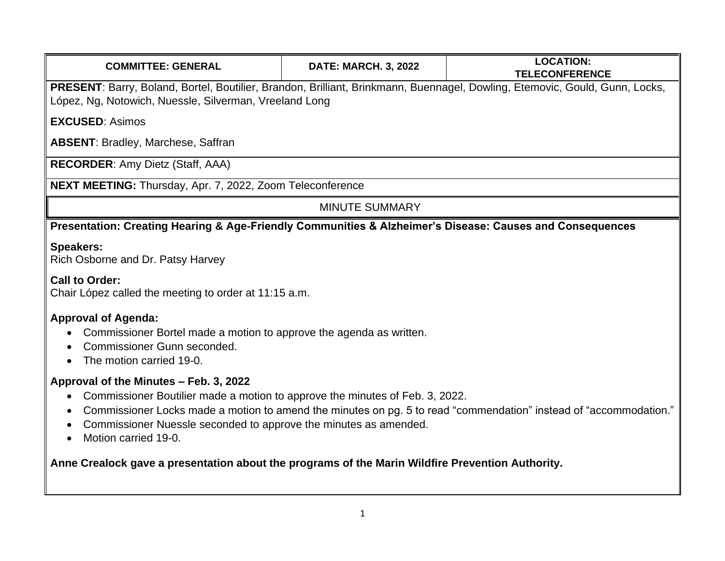| <b>COMMITTEE: GENERAL</b>                                                                                                                                                                                                                                                                                                                                                                                                                                             | <b>DATE: MARCH. 3, 2022</b> | <b>LOCATION:</b><br><b>TELECONFERENCE</b> |
|-----------------------------------------------------------------------------------------------------------------------------------------------------------------------------------------------------------------------------------------------------------------------------------------------------------------------------------------------------------------------------------------------------------------------------------------------------------------------|-----------------------------|-------------------------------------------|
| PRESENT: Barry, Boland, Bortel, Boutilier, Brandon, Brilliant, Brinkmann, Buennagel, Dowling, Etemovic, Gould, Gunn, Locks,<br>López, Ng, Notowich, Nuessle, Silverman, Vreeland Long                                                                                                                                                                                                                                                                                 |                             |                                           |
| <b>EXCUSED: Asimos</b>                                                                                                                                                                                                                                                                                                                                                                                                                                                |                             |                                           |
| <b>ABSENT: Bradley, Marchese, Saffran</b>                                                                                                                                                                                                                                                                                                                                                                                                                             |                             |                                           |
| <b>RECORDER:</b> Amy Dietz (Staff, AAA)                                                                                                                                                                                                                                                                                                                                                                                                                               |                             |                                           |
| NEXT MEETING: Thursday, Apr. 7, 2022, Zoom Teleconference                                                                                                                                                                                                                                                                                                                                                                                                             |                             |                                           |
| <b>MINUTE SUMMARY</b>                                                                                                                                                                                                                                                                                                                                                                                                                                                 |                             |                                           |
| Presentation: Creating Hearing & Age-Friendly Communities & Alzheimer's Disease: Causes and Consequences                                                                                                                                                                                                                                                                                                                                                              |                             |                                           |
| <b>Speakers:</b><br>Rich Osborne and Dr. Patsy Harvey                                                                                                                                                                                                                                                                                                                                                                                                                 |                             |                                           |
| <b>Call to Order:</b><br>Chair López called the meeting to order at 11:15 a.m.                                                                                                                                                                                                                                                                                                                                                                                        |                             |                                           |
| <b>Approval of Agenda:</b><br>Commissioner Bortel made a motion to approve the agenda as written.<br>Commissioner Gunn seconded.<br>The motion carried 19-0.                                                                                                                                                                                                                                                                                                          |                             |                                           |
| Approval of the Minutes - Feb. 3, 2022<br>Commissioner Boutilier made a motion to approve the minutes of Feb. 3, 2022.<br>$\bullet$<br>Commissioner Locks made a motion to amend the minutes on pg. 5 to read "commendation" instead of "accommodation."<br>$\bullet$<br>Commissioner Nuessle seconded to approve the minutes as amended.<br>Motion carried 19-0.<br>Anne Crealock gave a presentation about the programs of the Marin Wildfire Prevention Authority. |                             |                                           |
|                                                                                                                                                                                                                                                                                                                                                                                                                                                                       |                             |                                           |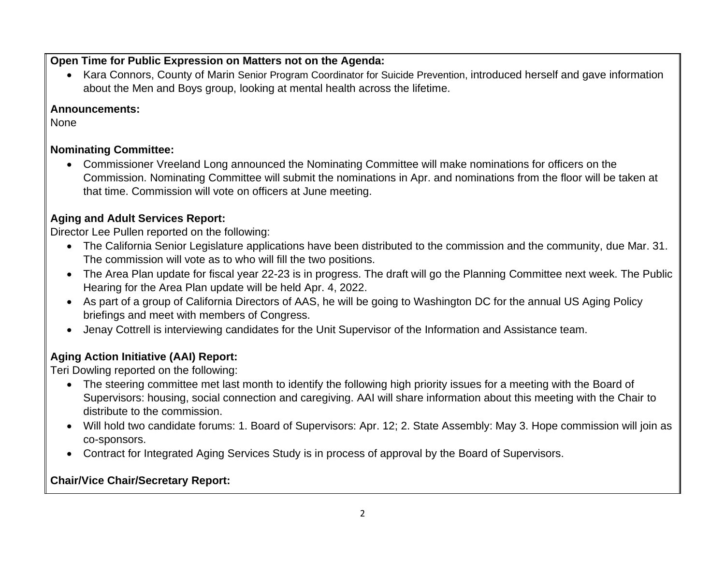#### **Open Time for Public Expression on Matters not on the Agenda:**

• Kara Connors, County of Marin Senior Program Coordinator for Suicide Prevention, introduced herself and gave information about the Men and Boys group, looking at mental health across the lifetime.

#### **Announcements:**

None

### **Nominating Committee:**

• Commissioner Vreeland Long announced the Nominating Committee will make nominations for officers on the Commission. Nominating Committee will submit the nominations in Apr. and nominations from the floor will be taken at that time. Commission will vote on officers at June meeting.

# **Aging and Adult Services Report:**

Director Lee Pullen reported on the following:

- The California Senior Legislature applications have been distributed to the commission and the community, due Mar. 31. The commission will vote as to who will fill the two positions.
- The Area Plan update for fiscal year 22-23 is in progress. The draft will go the Planning Committee next week. The Public Hearing for the Area Plan update will be held Apr. 4, 2022.
- As part of a group of California Directors of AAS, he will be going to Washington DC for the annual US Aging Policy briefings and meet with members of Congress.
- Jenay Cottrell is interviewing candidates for the Unit Supervisor of the Information and Assistance team.

# **Aging Action Initiative (AAI) Report:**

Teri Dowling reported on the following:

- The steering committee met last month to identify the following high priority issues for a meeting with the Board of Supervisors: housing, social connection and caregiving. AAI will share information about this meeting with the Chair to distribute to the commission.
- Will hold two candidate forums: 1. Board of Supervisors: Apr. 12; 2. State Assembly: May 3. Hope commission will join as co-sponsors.
- Contract for Integrated Aging Services Study is in process of approval by the Board of Supervisors.

# **Chair/Vice Chair/Secretary Report:**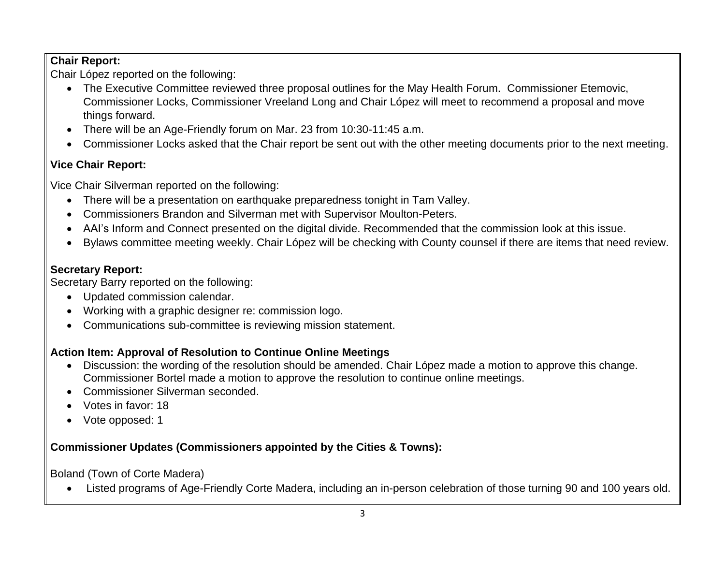#### **Chair Report:**

Chair López reported on the following:

- The Executive Committee reviewed three proposal outlines for the May Health Forum. Commissioner Etemovic, Commissioner Locks, Commissioner Vreeland Long and Chair López will meet to recommend a proposal and move things forward.
- There will be an Age-Friendly forum on Mar. 23 from 10:30-11:45 a.m.
- Commissioner Locks asked that the Chair report be sent out with the other meeting documents prior to the next meeting.

### **Vice Chair Report:**

Vice Chair Silverman reported on the following:

- There will be a presentation on earthquake preparedness tonight in Tam Valley.
- Commissioners Brandon and Silverman met with Supervisor Moulton-Peters.
- AAI's Inform and Connect presented on the digital divide. Recommended that the commission look at this issue.
- Bylaws committee meeting weekly. Chair López will be checking with County counsel if there are items that need review.

### **Secretary Report:**

Secretary Barry reported on the following:

- Updated commission calendar.
- Working with a graphic designer re: commission logo.
- Communications sub-committee is reviewing mission statement.

# **Action Item: Approval of Resolution to Continue Online Meetings**

- Discussion: the wording of the resolution should be amended. Chair López made a motion to approve this change. Commissioner Bortel made a motion to approve the resolution to continue online meetings.
- Commissioner Silverman seconded.
- Votes in favor: 18
- Vote opposed: 1

# **Commissioner Updates (Commissioners appointed by the Cities & Towns):**

Boland (Town of Corte Madera)

• Listed programs of Age-Friendly Corte Madera, including an in-person celebration of those turning 90 and 100 years old.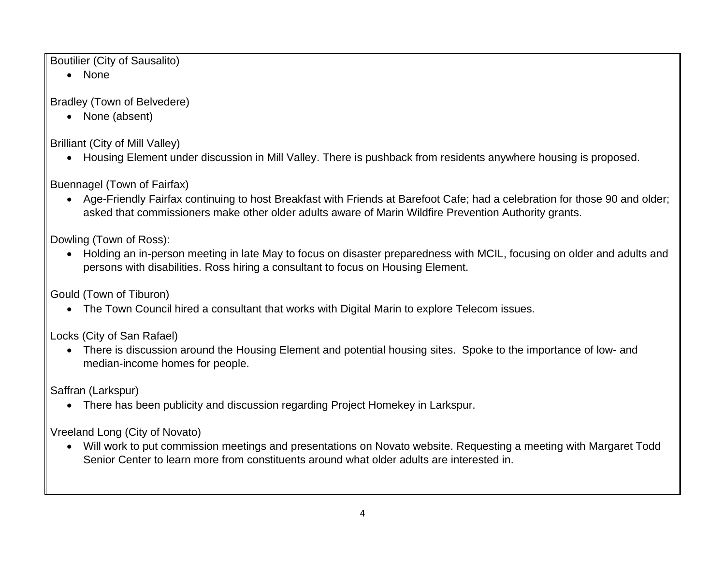Boutilier (City of Sausalito)

• None

Bradley (Town of Belvedere)

• None (absent)

Brilliant (City of Mill Valley)

• Housing Element under discussion in Mill Valley. There is pushback from residents anywhere housing is proposed.

Buennagel (Town of Fairfax)

• Age-Friendly Fairfax continuing to host Breakfast with Friends at Barefoot Cafe; had a celebration for those 90 and older; asked that commissioners make other older adults aware of Marin Wildfire Prevention Authority grants.

Dowling (Town of Ross):

• Holding an in-person meeting in late May to focus on disaster preparedness with MCIL, focusing on older and adults and persons with disabilities. Ross hiring a consultant to focus on Housing Element.

Gould (Town of Tiburon)

• The Town Council hired a consultant that works with Digital Marin to explore Telecom issues.

Locks (City of San Rafael)

• There is discussion around the Housing Element and potential housing sites. Spoke to the importance of low- and median-income homes for people.

Saffran (Larkspur)

• There has been publicity and discussion regarding Project Homekey in Larkspur.

Vreeland Long (City of Novato)

• Will work to put commission meetings and presentations on Novato website. Requesting a meeting with Margaret Todd Senior Center to learn more from constituents around what older adults are interested in.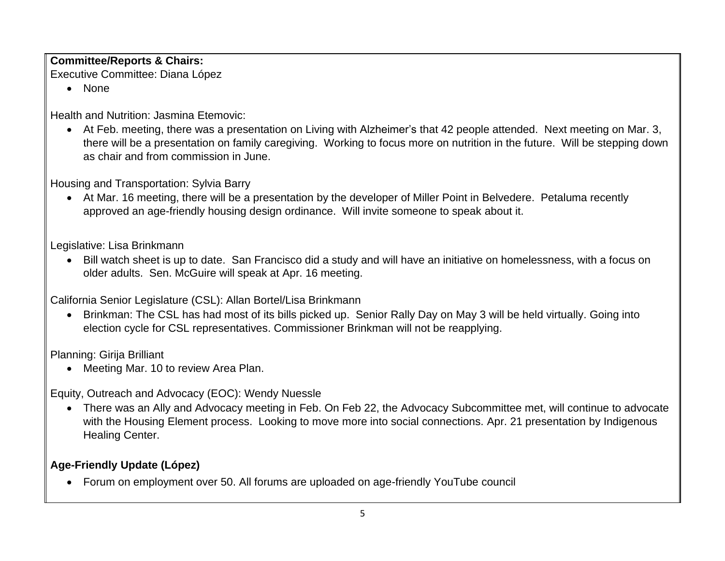# **Committee/Reports & Chairs:**

Executive Committee: Diana López

• None

Health and Nutrition: Jasmina Etemovic:

• At Feb. meeting, there was a presentation on Living with Alzheimer's that 42 people attended. Next meeting on Mar. 3, there will be a presentation on family caregiving. Working to focus more on nutrition in the future. Will be stepping down as chair and from commission in June.

Housing and Transportation: Sylvia Barry

• At Mar. 16 meeting, there will be a presentation by the developer of Miller Point in Belvedere. Petaluma recently approved an age-friendly housing design ordinance. Will invite someone to speak about it.

Legislative: Lisa Brinkmann

• Bill watch sheet is up to date. San Francisco did a study and will have an initiative on homelessness, with a focus on older adults. Sen. McGuire will speak at Apr. 16 meeting.

California Senior Legislature (CSL): Allan Bortel/Lisa Brinkmann

• Brinkman: The CSL has had most of its bills picked up. Senior Rally Day on May 3 will be held virtually. Going into election cycle for CSL representatives. Commissioner Brinkman will not be reapplying.

Planning: Girija Brilliant

• Meeting Mar. 10 to review Area Plan.

Equity, Outreach and Advocacy (EOC): Wendy Nuessle

• There was an Ally and Advocacy meeting in Feb. On Feb 22, the Advocacy Subcommittee met, will continue to advocate with the Housing Element process. Looking to move more into social connections. Apr. 21 presentation by Indigenous Healing Center.

### **Age-Friendly Update (López)**

• Forum on employment over 50. All forums are uploaded on age-friendly YouTube council